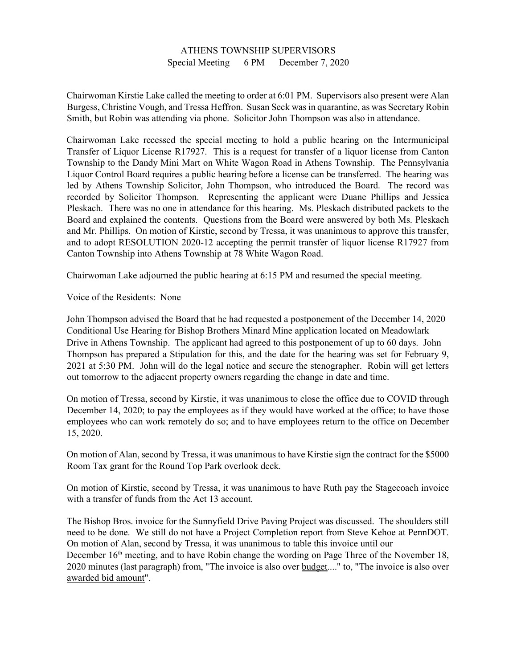## ATHENS TOWNSHIP SUPERVISORS Special Meeting 6 PM December 7, 2020

Chairwoman Kirstie Lake called the meeting to order at 6:01 PM. Supervisors also present were Alan Burgess, Christine Vough, and Tressa Heffron. Susan Seck was in quarantine, as was Secretary Robin Smith, but Robin was attending via phone. Solicitor John Thompson was also in attendance.

Chairwoman Lake recessed the special meeting to hold a public hearing on the Intermunicipal Transfer of Liquor License R17927. This is a request for transfer of a liquor license from Canton Township to the Dandy Mini Mart on White Wagon Road in Athens Township. The Pennsylvania Liquor Control Board requires a public hearing before a license can be transferred. The hearing was led by Athens Township Solicitor, John Thompson, who introduced the Board. The record was recorded by Solicitor Thompson. Representing the applicant were Duane Phillips and Jessica Pleskach. There was no one in attendance for this hearing. Ms. Pleskach distributed packets to the Board and explained the contents. Questions from the Board were answered by both Ms. Pleskach and Mr. Phillips. On motion of Kirstie, second by Tressa, it was unanimous to approve this transfer, and to adopt RESOLUTION 2020-12 accepting the permit transfer of liquor license R17927 from Canton Township into Athens Township at 78 White Wagon Road.

Chairwoman Lake adjourned the public hearing at 6:15 PM and resumed the special meeting.

Voice of the Residents: None

John Thompson advised the Board that he had requested a postponement of the December 14, 2020 Conditional Use Hearing for Bishop Brothers Minard Mine application located on Meadowlark Drive in Athens Township. The applicant had agreed to this postponement of up to 60 days. John Thompson has prepared a Stipulation for this, and the date for the hearing was set for February 9, 2021 at 5:30 PM. John will do the legal notice and secure the stenographer. Robin will get letters out tomorrow to the adjacent property owners regarding the change in date and time.

On motion of Tressa, second by Kirstie, it was unanimous to close the office due to COVID through December 14, 2020; to pay the employees as if they would have worked at the office; to have those employees who can work remotely do so; and to have employees return to the office on December 15, 2020.

On motion of Alan, second by Tressa, it was unanimous to have Kirstie sign the contract for the \$5000 Room Tax grant for the Round Top Park overlook deck.

On motion of Kirstie, second by Tressa, it was unanimous to have Ruth pay the Stagecoach invoice with a transfer of funds from the Act 13 account.

The Bishop Bros. invoice for the Sunnyfield Drive Paving Project was discussed. The shoulders still need to be done. We still do not have a Project Completion report from Steve Kehoe at PennDOT. On motion of Alan, second by Tressa, it was unanimous to table this invoice until our December 16<sup>th</sup> meeting, and to have Robin change the wording on Page Three of the November 18, 2020 minutes (last paragraph) from, "The invoice is also over budget...." to, "The invoice is also over awarded bid amount".